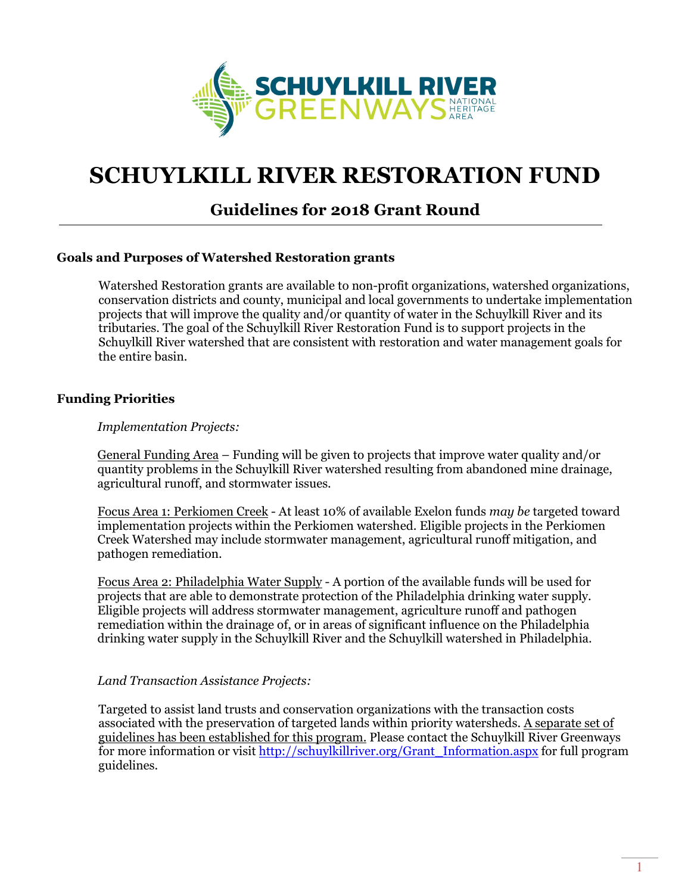

# SCHUYLKILL RIVER RESTORATION FUND

# Guidelines for 2018 Grant Round

#### Goals and Purposes of Watershed Restoration grants

Watershed Restoration grants are available to non-profit organizations, watershed organizations, conservation districts and county, municipal and local governments to undertake implementation projects that will improve the quality and/or quantity of water in the Schuylkill River and its tributaries. The goal of the Schuylkill River Restoration Fund is to support projects in the Schuylkill River watershed that are consistent with restoration and water management goals for the entire basin.

#### Funding Priorities

#### Implementation Projects:

General Funding Area – Funding will be given to projects that improve water quality and/or quantity problems in the Schuylkill River watershed resulting from abandoned mine drainage, agricultural runoff, and stormwater issues.

Focus Area 1: Perkiomen Creek - At least 10% of available Exelon funds may be targeted toward implementation projects within the Perkiomen watershed. Eligible projects in the Perkiomen Creek Watershed may include stormwater management, agricultural runoff mitigation, and pathogen remediation.

Focus Area 2: Philadelphia Water Supply - A portion of the available funds will be used for projects that are able to demonstrate protection of the Philadelphia drinking water supply. Eligible projects will address stormwater management, agriculture runoff and pathogen remediation within the drainage of, or in areas of significant influence on the Philadelphia drinking water supply in the Schuylkill River and the Schuylkill watershed in Philadelphia.

#### Land Transaction Assistance Projects:

Targeted to assist land trusts and conservation organizations with the transaction costs associated with the preservation of targeted lands within priority watersheds. A separate set of guidelines has been established for this program. Please contact the Schuylkill River Greenways for more information or visit http://schuylkillriver.org/Grant\_Information.aspx for full program guidelines.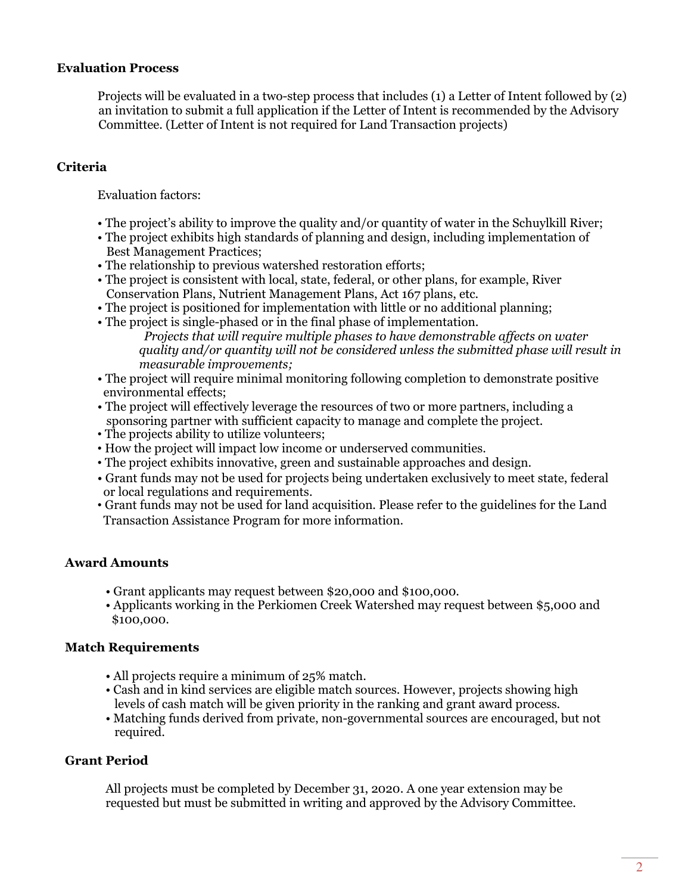#### Evaluation Process

Projects will be evaluated in a two-step process that includes (1) a Letter of Intent followed by (2) an invitation to submit a full application if the Letter of Intent is recommended by the Advisory Committee. (Letter of Intent is not required for Land Transaction projects)

# Criteria

Evaluation factors:

- The project's ability to improve the quality and/or quantity of water in the Schuylkill River;
- The project exhibits high standards of planning and design, including implementation of Best Management Practices;
- The relationship to previous watershed restoration efforts;
- The project is consistent with local, state, federal, or other plans, for example, River Conservation Plans, Nutrient Management Plans, Act 167 plans, etc.
- The project is positioned for implementation with little or no additional planning;
- The project is single-phased or in the final phase of implementation.
	- Projects that will require multiple phases to have demonstrable affects on water quality and/or quantity will not be considered unless the submitted phase will result in measurable improvements;
- The project will require minimal monitoring following completion to demonstrate positive environmental effects;
- The project will effectively leverage the resources of two or more partners, including a sponsoring partner with sufficient capacity to manage and complete the project.
- The projects ability to utilize volunteers;
- How the project will impact low income or underserved communities.
- The project exhibits innovative, green and sustainable approaches and design.
- Grant funds may not be used for projects being undertaken exclusively to meet state, federal or local regulations and requirements.
- Grant funds may not be used for land acquisition. Please refer to the guidelines for the Land Transaction Assistance Program for more information.

#### Award Amounts

- Grant applicants may request between \$20,000 and \$100,000.
- Applicants working in the Perkiomen Creek Watershed may request between \$5,000 and \$100,000.

#### Match Requirements

- All projects require a minimum of 25% match.
- Cash and in kind services are eligible match sources. However, projects showing high levels of cash match will be given priority in the ranking and grant award process.
- Matching funds derived from private, non-governmental sources are encouraged, but not required.

#### Grant Period

All projects must be completed by December 31, 2020. A one year extension may be requested but must be submitted in writing and approved by the Advisory Committee.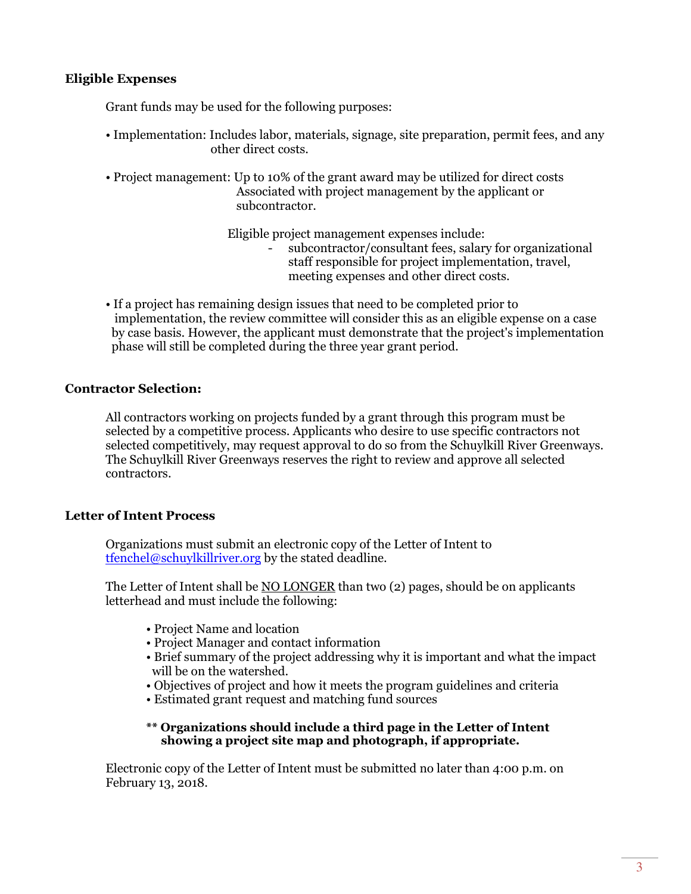#### Eligible Expenses

Grant funds may be used for the following purposes:

- Implementation: Includes labor, materials, signage, site preparation, permit fees, and any other direct costs.
- Project management: Up to 10% of the grant award may be utilized for direct costs Associated with project management by the applicant or subcontractor.

Eligible project management expenses include:

- subcontractor/consultant fees, salary for organizational staff responsible for project implementation, travel, meeting expenses and other direct costs.
- If a project has remaining design issues that need to be completed prior to implementation, the review committee will consider this as an eligible expense on a case by case basis. However, the applicant must demonstrate that the project's implementation phase will still be completed during the three year grant period.

## Contractor Selection:

All contractors working on projects funded by a grant through this program must be selected by a competitive process. Applicants who desire to use specific contractors not selected competitively, may request approval to do so from the Schuylkill River Greenways. The Schuylkill River Greenways reserves the right to review and approve all selected contractors.

# Letter of Intent Process

Organizations must submit an electronic copy of the Letter of Intent to tfenchel@schuylkillriver.org by the stated deadline.

The Letter of Intent shall be NO LONGER than two (2) pages, should be on applicants letterhead and must include the following:

- Project Name and location
- Project Manager and contact information
- Brief summary of the project addressing why it is important and what the impact will be on the watershed.
- Objectives of project and how it meets the program guidelines and criteria
- Estimated grant request and matching fund sources

#### \*\* Organizations should include a third page in the Letter of Intent showing a project site map and photograph, if appropriate.

Electronic copy of the Letter of Intent must be submitted no later than 4:00 p.m. on February 13, 2018.